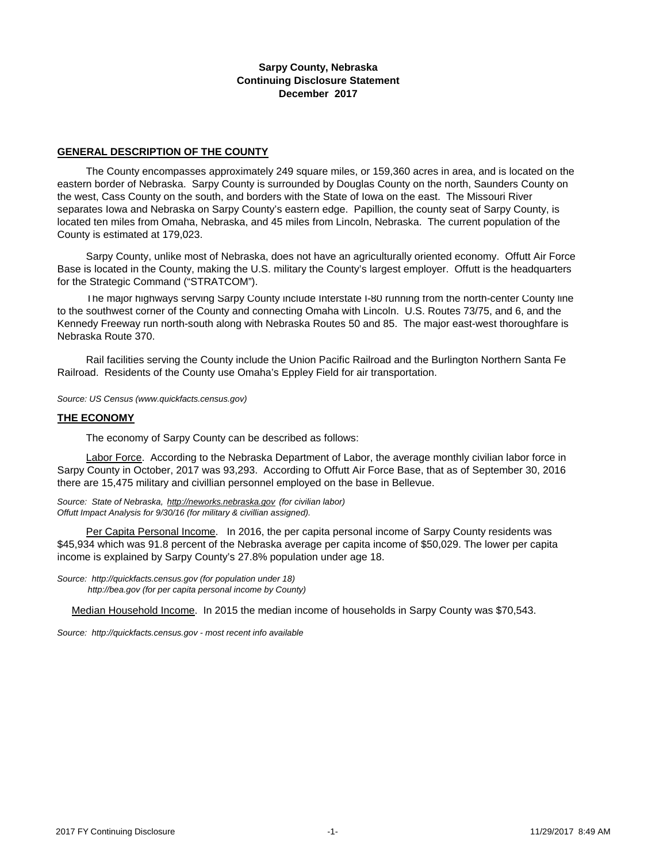### **Sarpy County, Nebraska Continuing Disclosure Statement December 2017**

#### **GENERAL DESCRIPTION OF THE COUNTY**

 The County encompasses approximately 249 square miles, or 159,360 acres in area, and is located on the eastern border of Nebraska. Sarpy County is surrounded by Douglas County on the north, Saunders County on the west, Cass County on the south, and borders with the State of Iowa on the east. The Missouri River separates Iowa and Nebraska on Sarpy County's eastern edge. Papillion, the county seat of Sarpy County, is located ten miles from Omaha, Nebraska, and 45 miles from Lincoln, Nebraska. The current population of the County is estimated at 179,023.

 Sarpy County, unlike most of Nebraska, does not have an agriculturally oriented economy. Offutt Air Force Base is located in the County, making the U.S. military the County's largest employer. Offutt is the headquarters for the Strategic Command ("STRATCOM").

 The major highways serving Sarpy County include Interstate I-80 running from the north-center County line to the southwest corner of the County and connecting Omaha with Lincoln. U.S. Routes 73/75, and 6, and the Kennedy Freeway run north-south along with Nebraska Routes 50 and 85. The major east-west thoroughfare is Nebraska Route 370.

 Rail facilities serving the County include the Union Pacific Railroad and the Burlington Northern Santa Fe Railroad. Residents of the County use Omaha's Eppley Field for air transportation.

*Source: US Census (www.quickfacts.census.gov)*

#### **THE ECONOMY**

The economy of Sarpy County can be described as follows:

 Labor Force. According to the Nebraska Department of Labor, the average monthly civilian labor force in Sarpy County in October, 2017 was 93,293. According to Offutt Air Force Base, that as of September 30, 2016 there are 15,475 military and civillian personnel employed on the base in Bellevue.

*Source: State of Nebraska, http://neworks.nebraska.gov (for civilian labor) Offutt Impact Analysis for 9/30/16 (for military & civillian assigned).* 

 Per Capita Personal Income. In 2016, the per capita personal income of Sarpy County residents was \$45,934 which was 91.8 percent of the Nebraska average per capita income of \$50,029. The lower per capita income is explained by Sarpy County's 27.8% population under age 18.

*Source: http://quickfacts.census.gov (for population under 18) http://bea.gov (for per capita personal income by County)*

Median Household Income. In 2015 the median income of households in Sarpy County was \$70,543.

*[Source: http://quickfacts.census.gov - most recent info available](http://factfinder.census.gov/)*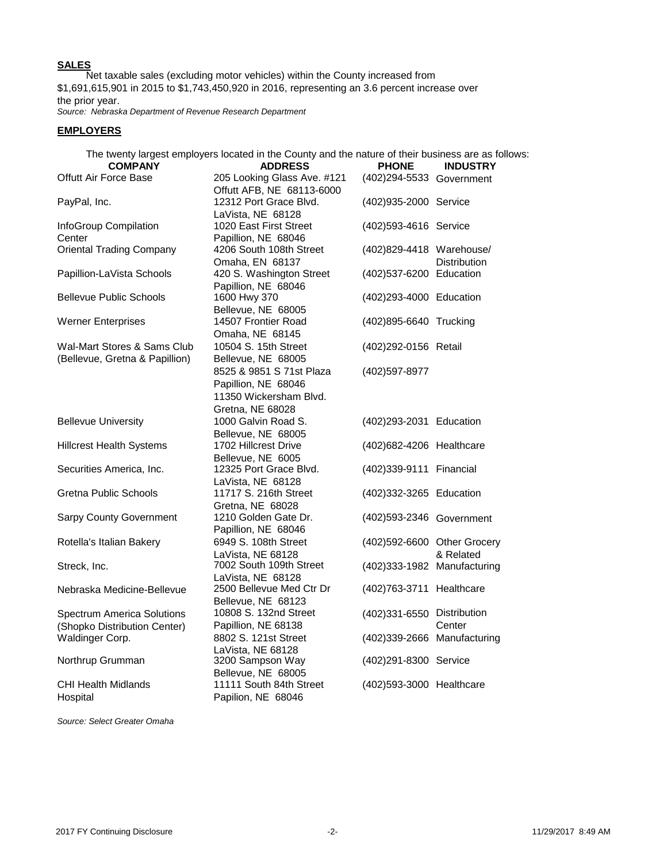## **SALES**

 Net taxable sales (excluding motor vehicles) within the County increased from \$1,691,615,901 in 2015 to \$1,743,450,920 in 2016, representing an 3.6 percent increase over the prior year.

*Source: Nebraska Department of Revenue Research Department*

### **EMPLOYERS**

|                                                                   | The twenty largest employers located in the County and the nature of their business are as follows: |                             |                     |
|-------------------------------------------------------------------|-----------------------------------------------------------------------------------------------------|-----------------------------|---------------------|
| <b>COMPANY</b>                                                    | <b>ADDRESS</b>                                                                                      | <b>PHONE</b>                | <b>INDUSTRY</b>     |
| <b>Offutt Air Force Base</b>                                      | 205 Looking Glass Ave. #121<br>Offutt AFB, NE 68113-6000                                            | (402) 294-5533 Government   |                     |
| PayPal, Inc.                                                      | 12312 Port Grace Blvd.<br>LaVista, NE 68128                                                         | (402)935-2000 Service       |                     |
| InfoGroup Compilation<br>Center                                   | 1020 East First Street<br>Papillion, NE 68046                                                       | (402)593-4616 Service       |                     |
| <b>Oriental Trading Company</b>                                   | 4206 South 108th Street<br>Omaha, EN 68137                                                          | (402)829-4418 Warehouse/    | <b>Distribution</b> |
| Papillion-LaVista Schools                                         | 420 S. Washington Street<br>Papillion, NE 68046                                                     | (402)537-6200 Education     |                     |
| <b>Bellevue Public Schools</b>                                    | 1600 Hwy 370<br>Bellevue, NE 68005                                                                  | (402)293-4000 Education     |                     |
| <b>Werner Enterprises</b>                                         | 14507 Frontier Road<br>Omaha, NE 68145                                                              | (402)895-6640 Trucking      |                     |
| Wal-Mart Stores & Sams Club<br>(Bellevue, Gretna & Papillion)     | 10504 S. 15th Street<br>Bellevue, NE 68005                                                          | (402)292-0156 Retail        |                     |
|                                                                   | 8525 & 9851 S 71st Plaza<br>Papillion, NE 68046<br>11350 Wickersham Blvd.                           | (402) 597-8977              |                     |
| <b>Bellevue University</b>                                        | Gretna, NE 68028<br>1000 Galvin Road S.<br>Bellevue, NE 68005                                       | (402) 293-2031 Education    |                     |
| <b>Hillcrest Health Systems</b>                                   | 1702 Hillcrest Drive<br>Bellevue, NE 6005                                                           | (402)682-4206 Healthcare    |                     |
| Securities America, Inc.                                          | 12325 Port Grace Blvd.<br>LaVista, NE 68128                                                         | (402)339-9111 Financial     |                     |
| Gretna Public Schools                                             | 11717 S. 216th Street<br>Gretna, NE 68028                                                           | (402)332-3265 Education     |                     |
| <b>Sarpy County Government</b>                                    | 1210 Golden Gate Dr.<br>Papillion, NE 68046                                                         | (402)593-2346 Government    |                     |
| Rotella's Italian Bakery                                          | 6949 S. 108th Street                                                                                | (402)592-6600 Other Grocery |                     |
| Streck, Inc.                                                      | LaVista, NE 68128<br>7002 South 109th Street                                                        | (402)333-1982 Manufacturing | & Related           |
| Nebraska Medicine-Bellevue                                        | LaVista, NE 68128<br>2500 Bellevue Med Ctr Dr<br>Bellevue, NE 68123                                 | (402)763-3711 Healthcare    |                     |
| <b>Spectrum America Solutions</b><br>(Shopko Distribution Center) | 10808 S. 132nd Street<br>Papillion, NE 68138                                                        | (402)331-6550 Distribution  | Center              |
| Waldinger Corp.                                                   | 8802 S. 121st Street<br>LaVista, NE 68128                                                           | (402)339-2666 Manufacturing |                     |
| Northrup Grumman                                                  | 3200 Sampson Way<br>Bellevue, NE 68005                                                              | (402) 291-8300 Service      |                     |
| <b>CHI Health Midlands</b><br>Hospital                            | 11111 South 84th Street<br>Papilion, NE 68046                                                       | (402)593-3000 Healthcare    |                     |

*Source: Select Greater Omaha*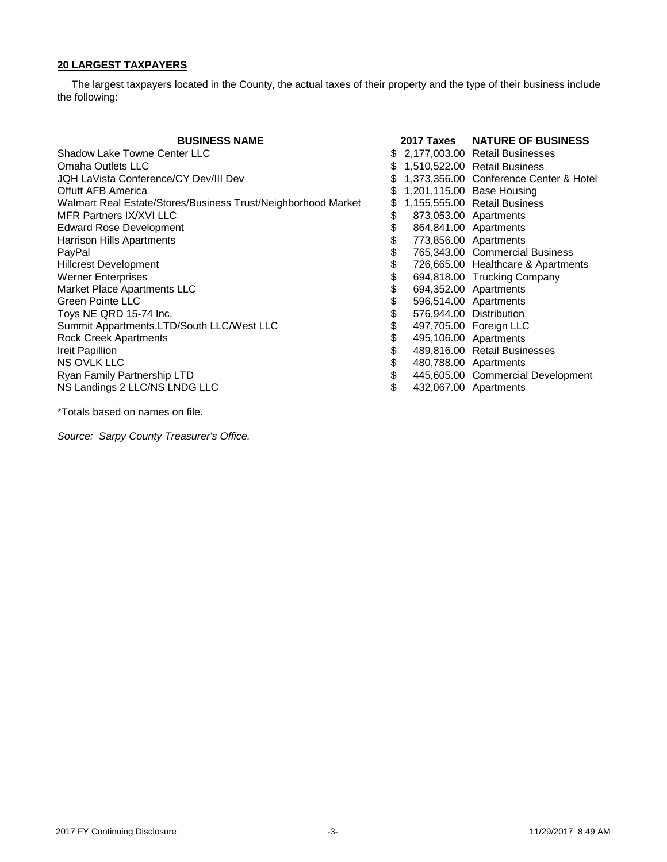## **20 LARGEST TAXPAYERS**

 The largest taxpayers located in the County, the actual taxes of their property and the type of their business include the following:

| <b>BUSINESS NAME</b>                                          |    | 2017 Taxes | <b>NATURE OF BUSINESS</b>              |
|---------------------------------------------------------------|----|------------|----------------------------------------|
| Shadow Lake Towne Center LLC                                  |    |            | \$ 2,177,003.00 Retail Businesses      |
| Omaha Outlets LLC                                             |    |            | 1,510,522.00 Retail Business           |
| JQH LaVista Conference/CY Dev/III Dev                         |    |            | 1,373,356.00 Conference Center & Hotel |
| <b>Offutt AFB America</b>                                     | S  |            | 1,201,115.00 Base Housing              |
| Walmart Real Estate/Stores/Business Trust/Neighborhood Market | S  |            | 1,155,555.00 Retail Business           |
| MFR Partners IX/XVI LLC                                       | \$ |            | 873,053.00 Apartments                  |
| <b>Edward Rose Development</b>                                | \$ |            | 864,841.00 Apartments                  |
| Harrison Hills Apartments                                     | \$ |            | 773,856.00 Apartments                  |
| PayPal                                                        | \$ |            | 765,343.00 Commercial Business         |
| <b>Hillcrest Development</b>                                  | \$ |            | 726,665.00 Healthcare & Apartments     |
| <b>Werner Enterprises</b>                                     | \$ |            | 694,818.00 Trucking Company            |
| Market Place Apartments LLC                                   | \$ |            | 694,352.00 Apartments                  |
| <b>Green Pointe LLC</b>                                       | \$ |            | 596,514.00 Apartments                  |
| Toys NE QRD 15-74 Inc.                                        | \$ |            | 576,944.00 Distribution                |
| Summit Appartments, LTD/South LLC/West LLC                    | \$ |            | 497,705.00 Foreign LLC                 |
| <b>Rock Creek Apartments</b>                                  | \$ |            | 495,106.00 Apartments                  |
| Ireit Papillion                                               | \$ |            | 489,816.00 Retail Businesses           |
| <b>NS OVLK LLC</b>                                            | \$ |            | 480,788.00 Apartments                  |
| Ryan Family Partnership LTD                                   | \$ |            | 445,605.00 Commercial Development      |
| NS Landings 2 LLC/NS LNDG LLC                                 | \$ |            | 432,067.00 Apartments                  |

\*Totals based on names on file.

*Source: Sarpy County Treasurer's Office.*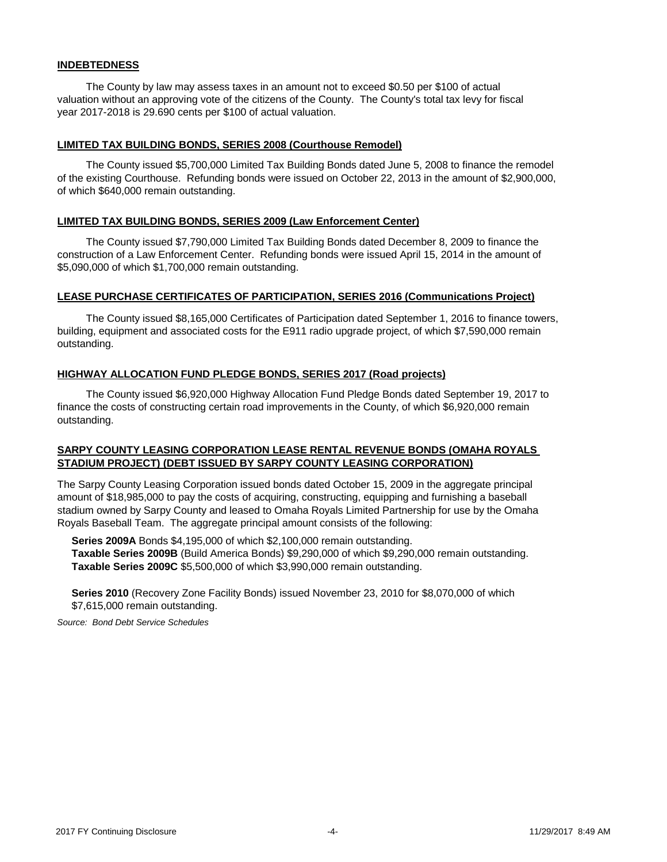### **INDEBTEDNESS**

 The County by law may assess taxes in an amount not to exceed \$0.50 per \$100 of actual valuation without an approving vote of the citizens of the County. The County's total tax levy for fiscal year 2017-2018 is 29.690 cents per \$100 of actual valuation.

#### **LIMITED TAX BUILDING BONDS, SERIES 2008 (Courthouse Remodel)**

 The County issued \$5,700,000 Limited Tax Building Bonds dated June 5, 2008 to finance the remodel of the existing Courthouse. Refunding bonds were issued on October 22, 2013 in the amount of \$2,900,000, of which \$640,000 remain outstanding.

#### **LIMITED TAX BUILDING BONDS, SERIES 2009 (Law Enforcement Center)**

 The County issued \$7,790,000 Limited Tax Building Bonds dated December 8, 2009 to finance the construction of a Law Enforcement Center. Refunding bonds were issued April 15, 2014 in the amount of \$5,090,000 of which \$1,700,000 remain outstanding.

### **LEASE PURCHASE CERTIFICATES OF PARTICIPATION, SERIES 2016 (Communications Project)**

 The County issued \$8,165,000 Certificates of Participation dated September 1, 2016 to finance towers, building, equipment and associated costs for the E911 radio upgrade project, of which \$7,590,000 remain outstanding.

### **HIGHWAY ALLOCATION FUND PLEDGE BONDS, SERIES 2017 (Road projects)**

 The County issued \$6,920,000 Highway Allocation Fund Pledge Bonds dated September 19, 2017 to finance the costs of constructing certain road improvements in the County, of which \$6,920,000 remain outstanding.

## **SARPY COUNTY LEASING CORPORATION LEASE RENTAL REVENUE BONDS (OMAHA ROYALS STADIUM PROJECT) (DEBT ISSUED BY SARPY COUNTY LEASING CORPORATION)**

The Sarpy County Leasing Corporation issued bonds dated October 15, 2009 in the aggregate principal amount of \$18,985,000 to pay the costs of acquiring, constructing, equipping and furnishing a baseball stadium owned by Sarpy County and leased to Omaha Royals Limited Partnership for use by the Omaha Royals Baseball Team. The aggregate principal amount consists of the following:

 **Series 2009A** Bonds \$4,195,000 of which \$2,100,000 remain outstanding. **Taxable Series 2009B** (Build America Bonds) \$9,290,000 of which \$9,290,000 remain outstanding. **Taxable Series 2009C** \$5,500,000 of which \$3,990,000 remain outstanding.

 **Series 2010** (Recovery Zone Facility Bonds) issued November 23, 2010 for \$8,070,000 of which \$7,615,000 remain outstanding.

*Source: Bond Debt Service Schedules*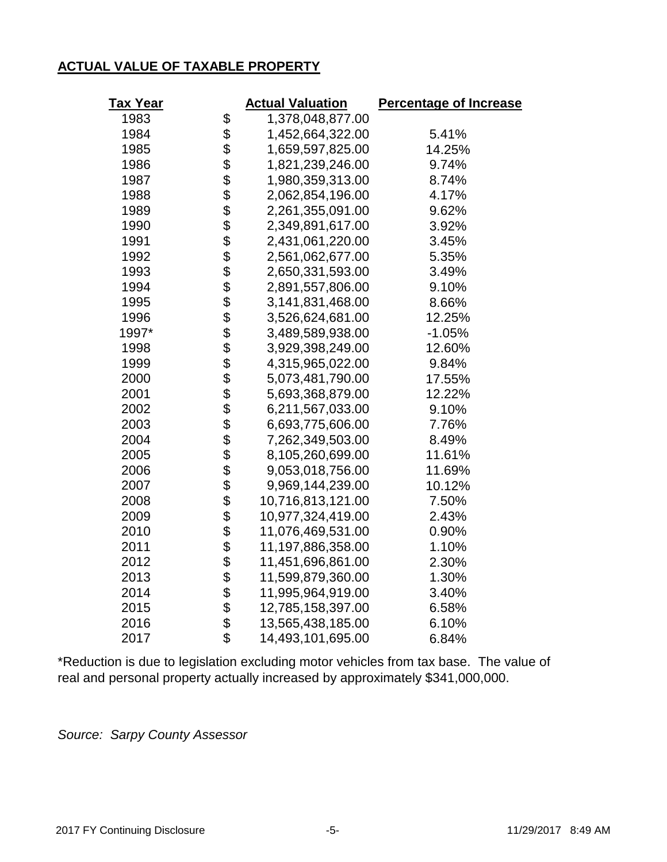# **ACTUAL VALUE OF TAXABLE PROPERTY**

| T <u>ax Year</u> |                                       | <b>Actual Valuation</b> | <b>Percentage of Increase</b> |
|------------------|---------------------------------------|-------------------------|-------------------------------|
| 1983             |                                       | 1,378,048,877.00        |                               |
| 1984             |                                       | 1,452,664,322.00        | 5.41%                         |
| 1985             |                                       | 1,659,597,825.00        | 14.25%                        |
| 1986             |                                       | 1,821,239,246.00        | 9.74%                         |
| 1987             |                                       | 1,980,359,313.00        | 8.74%                         |
| 1988             |                                       | 2,062,854,196.00        | 4.17%                         |
| 1989             |                                       | 2,261,355,091.00        | 9.62%                         |
| 1990             |                                       | 2,349,891,617.00        | 3.92%                         |
| 1991             |                                       | 2,431,061,220.00        | 3.45%                         |
| 1992             |                                       | 2,561,062,677.00        | 5.35%                         |
| 1993             |                                       | 2,650,331,593.00        | 3.49%                         |
| 1994             |                                       | 2,891,557,806.00        | 9.10%                         |
| 1995             |                                       | 3,141,831,468.00        | 8.66%                         |
| 1996             |                                       | 3,526,624,681.00        | 12.25%                        |
| 1997*            |                                       | 3,489,589,938.00        | $-1.05%$                      |
| 1998             |                                       | 3,929,398,249.00        | 12.60%                        |
| 1999             |                                       | 4,315,965,022.00        | 9.84%                         |
| 2000             |                                       | 5,073,481,790.00        | 17.55%                        |
| 2001             |                                       | 5,693,368,879.00        | 12.22%                        |
| 2002             |                                       | 6,211,567,033.00        | 9.10%                         |
| 2003             |                                       | 6,693,775,606.00        | 7.76%                         |
| 2004             |                                       | 7,262,349,503.00        | 8.49%                         |
| 2005             |                                       | 8,105,260,699.00        | 11.61%                        |
| 2006             |                                       | 9,053,018,756.00        | 11.69%                        |
| 2007             |                                       | 9,969,144,239.00        | 10.12%                        |
| 2008             |                                       | 10,716,813,121.00       | 7.50%                         |
| 2009             |                                       | 10,977,324,419.00       | 2.43%                         |
| 2010             |                                       | 11,076,469,531.00       | 0.90%                         |
| 2011             |                                       | 11,197,886,358.00       | 1.10%                         |
| 2012             |                                       | 11,451,696,861.00       | 2.30%                         |
| 2013             |                                       | 11,599,879,360.00       | 1.30%                         |
| 2014             |                                       | 11,995,964,919.00       | 3.40%                         |
| 2015             |                                       | 12,785,158,397.00       | 6.58%                         |
| 2016             | 8888888888888888888888888888888888888 | 13,565,438,185.00       | 6.10%                         |
| 2017             |                                       | 14,493,101,695.00       | 6.84%                         |

\*Reduction is due to legislation excluding motor vehicles from tax base. The value of real and personal property actually increased by approximately \$341,000,000.

*Source: Sarpy County Assessor*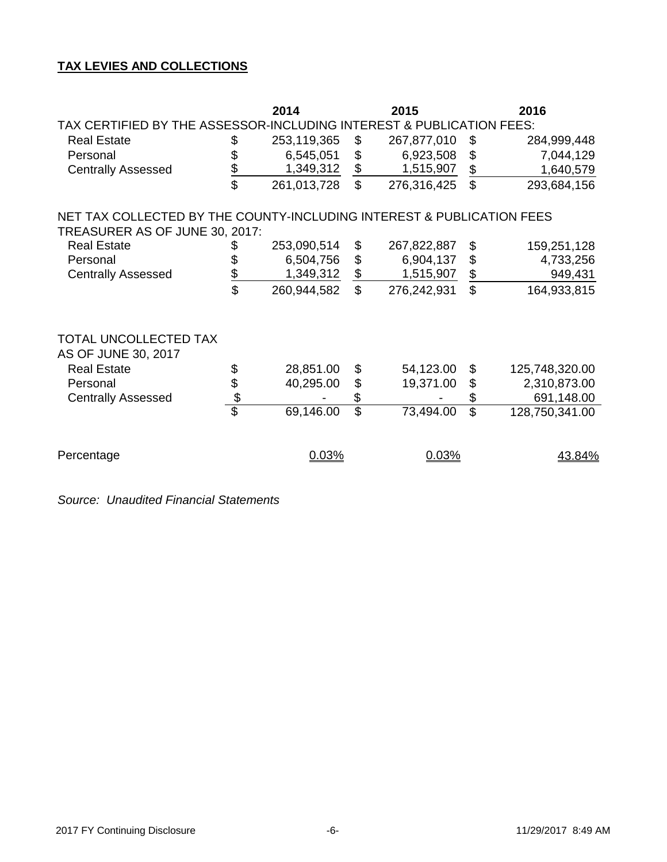# **TAX LEVIES AND COLLECTIONS**

|                                                                       |                         | 2014        |                           | 2015        |                         | 2016           |  |  |  |  |  |  |  |
|-----------------------------------------------------------------------|-------------------------|-------------|---------------------------|-------------|-------------------------|----------------|--|--|--|--|--|--|--|
| TAX CERTIFIED BY THE ASSESSOR-INCLUDING INTEREST & PUBLICATION FEES:  |                         |             |                           |             |                         |                |  |  |  |  |  |  |  |
| <b>Real Estate</b>                                                    | \$                      | 253,119,365 | \$                        | 267,877,010 | \$                      | 284,999,448    |  |  |  |  |  |  |  |
| Personal                                                              | \$                      | 6,545,051   | $\boldsymbol{\mathsf{S}}$ | 6,923,508   | \$                      | 7,044,129      |  |  |  |  |  |  |  |
| <b>Centrally Assessed</b>                                             | \$                      | 1,349,312   | $$\mathbb{S}$$            | 1,515,907   | \$                      | 1,640,579      |  |  |  |  |  |  |  |
|                                                                       | \$                      | 261,013,728 | $\mathbb{S}$              | 276,316,425 | \$                      | 293,684,156    |  |  |  |  |  |  |  |
| NET TAX COLLECTED BY THE COUNTY-INCLUDING INTEREST & PUBLICATION FEES |                         |             |                           |             |                         |                |  |  |  |  |  |  |  |
| TREASURER AS OF JUNE 30, 2017:                                        |                         |             |                           |             |                         |                |  |  |  |  |  |  |  |
| <b>Real Estate</b>                                                    | \$                      | 253,090,514 | \$                        | 267,822,887 | \$                      | 159,251,128    |  |  |  |  |  |  |  |
| Personal                                                              | \$                      | 6,504,756   | $\$\$                     | 6,904,137   | \$                      | 4,733,256      |  |  |  |  |  |  |  |
| <b>Centrally Assessed</b>                                             | \$                      | 1,349,312   | $\, \, \$$                | 1,515,907   | \$                      | 949,431        |  |  |  |  |  |  |  |
|                                                                       | \$                      | 260,944,582 | $\mathbb{S}$              | 276,242,931 | \$                      | 164,933,815    |  |  |  |  |  |  |  |
| TOTAL UNCOLLECTED TAX<br>AS OF JUNE 30, 2017                          |                         |             |                           |             |                         |                |  |  |  |  |  |  |  |
| <b>Real Estate</b>                                                    | \$                      | 28,851.00   | \$                        | 54,123.00   | \$                      | 125,748,320.00 |  |  |  |  |  |  |  |
| Personal                                                              |                         | 40,295.00   | \$                        | 19,371.00   | \$                      | 2,310,873.00   |  |  |  |  |  |  |  |
| <b>Centrally Assessed</b>                                             | $\frac{1}{2}$           |             | \$                        |             | \$                      | 691,148.00     |  |  |  |  |  |  |  |
|                                                                       | $\overline{\mathbb{S}}$ | 69,146.00   | $\overline{\mathbb{S}}$   | 73,494.00   | $\overline{\mathbb{S}}$ | 128,750,341.00 |  |  |  |  |  |  |  |
|                                                                       |                         |             |                           |             |                         |                |  |  |  |  |  |  |  |
| Percentage                                                            |                         | 0.03%       |                           | 0.03%       | 43.84%                  |                |  |  |  |  |  |  |  |

*Source: Unaudited Financial Statements*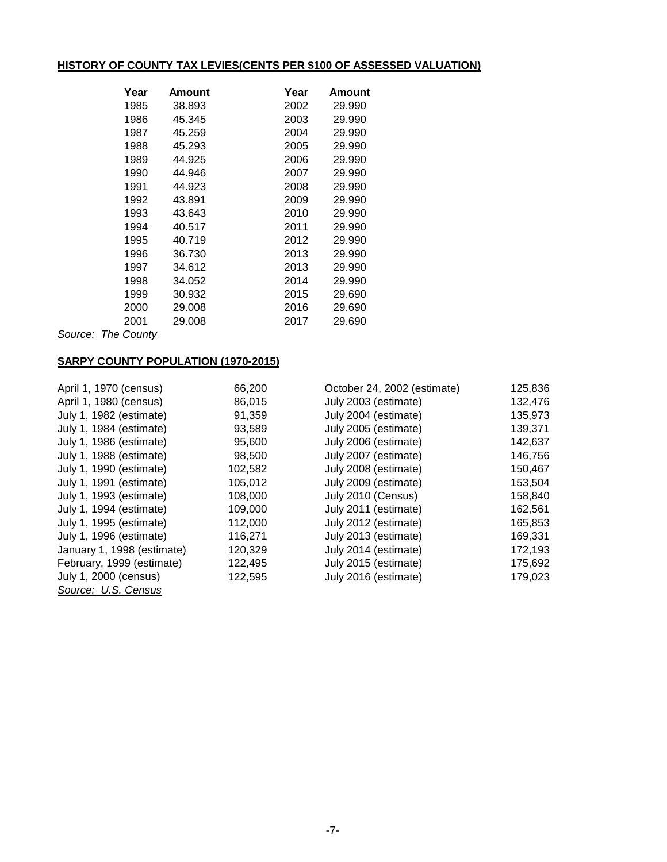## **HISTORY OF COUNTY TAX LEVIES(CENTS PER \$100 OF ASSESSED VALUATION)**

| Year     | Amount | Year | Amount |
|----------|--------|------|--------|
| 1985     | 38.893 | 2002 | 29.990 |
| 1986     | 45.345 | 2003 | 29.990 |
| 1987     | 45.259 | 2004 | 29.990 |
| 1988     | 45.293 | 2005 | 29.990 |
| 1989     | 44.925 | 2006 | 29.990 |
| 1990     | 44.946 | 2007 | 29.990 |
| 1991     | 44.923 | 2008 | 29.990 |
| 1992     | 43.891 | 2009 | 29.990 |
| 1993     | 43.643 | 2010 | 29.990 |
| 1994     | 40.517 | 2011 | 29.990 |
| 1995     | 40.719 | 2012 | 29.990 |
| 1996     | 36.730 | 2013 | 29.990 |
| 1997     | 34.612 | 2013 | 29.990 |
| 1998     | 34.052 | 2014 | 29.990 |
| 1999     | 30.932 | 2015 | 29.690 |
| 2000     | 29.008 | 2016 | 29.690 |
| 2001     | 29.008 | 2017 | 29.690 |
| <b>C</b> |        |      |        |

*Source: The County*

## **SARPY COUNTY POPULATION (1970-2015)**

| April 1, 1970 (census)     | 66,200  | October 24, 2002 (estimate) | 125,836 |
|----------------------------|---------|-----------------------------|---------|
| April 1, 1980 (census)     | 86,015  | July 2003 (estimate)        | 132,476 |
| July 1, 1982 (estimate)    | 91,359  | July 2004 (estimate)        | 135,973 |
| July 1, 1984 (estimate)    | 93,589  | July 2005 (estimate)        | 139,371 |
| July 1, 1986 (estimate)    | 95,600  | July 2006 (estimate)        | 142,637 |
| July 1, 1988 (estimate)    | 98,500  | July 2007 (estimate)        | 146,756 |
| July 1, 1990 (estimate)    | 102,582 | July 2008 (estimate)        | 150,467 |
| July 1, 1991 (estimate)    | 105,012 | July 2009 (estimate)        | 153,504 |
| July 1, 1993 (estimate)    | 108,000 | July 2010 (Census)          | 158,840 |
| July 1, 1994 (estimate)    | 109,000 | July 2011 (estimate)        | 162,561 |
| July 1, 1995 (estimate)    | 112,000 | July 2012 (estimate)        | 165,853 |
| July 1, 1996 (estimate)    | 116,271 | July 2013 (estimate)        | 169,331 |
| January 1, 1998 (estimate) | 120,329 | July 2014 (estimate)        | 172,193 |
| February, 1999 (estimate)  | 122,495 | July 2015 (estimate)        | 175,692 |
| July 1, 2000 (census)      | 122,595 | July 2016 (estimate)        | 179,023 |
| Source: U.S. Census        |         |                             |         |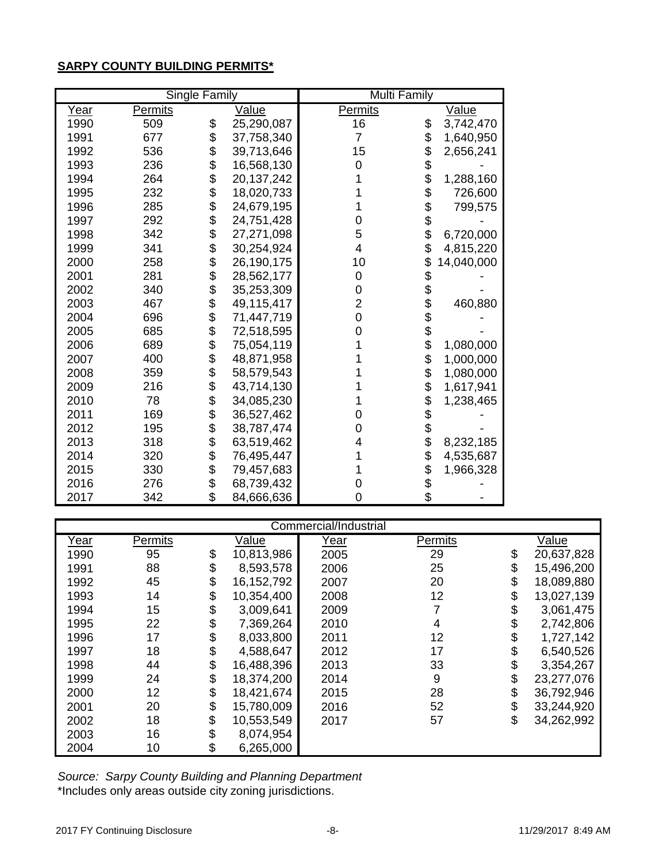# **SARPY COUNTY BUILDING PERMITS\***

|      |                | <b>Single Family</b> |              | <b>Multi Family</b> |            |              |
|------|----------------|----------------------|--------------|---------------------|------------|--------------|
| Year | <b>Permits</b> |                      | Value        | <b>Permits</b>      |            | <u>Value</u> |
| 1990 | 509            | \$                   | 25,290,087   | 16                  | \$         | 3,742,470    |
| 1991 | 677            | \$                   | 37,758,340   | 7                   | \$         | 1,640,950    |
| 1992 | 536            | \$                   | 39,713,646   | 15                  | \$         | 2,656,241    |
| 1993 | 236            | \$                   | 16,568,130   | 0                   | \$         |              |
| 1994 | 264            | \$                   | 20, 137, 242 |                     | \$         | 1,288,160    |
| 1995 | 232            | \$                   | 18,020,733   |                     | \$         | 726,600      |
| 1996 | 285            |                      | 24,679,195   |                     | \$         | 799,575      |
| 1997 | 292            | \$\$                 | 24,751,428   | 0                   | \$         |              |
| 1998 | 342            |                      | 27,271,098   | 5                   | \$         | 6,720,000    |
| 1999 | 341            | \$                   | 30,254,924   | 4                   | \$         | 4,815,220    |
| 2000 | 258            | \$                   | 26,190,175   | 10                  | \$         | 14,040,000   |
| 2001 | 281            | \$                   | 28,562,177   | 0                   | \$         |              |
| 2002 | 340            |                      | 35,253,309   | 0                   | \$         |              |
| 2003 | 467            | \$                   | 49,115,417   | $\overline{2}$      | \$         | 460,880      |
| 2004 | 696            | $\dot{\$}$           | 71,447,719   | 0                   | \$         |              |
| 2005 | 685            | \$                   | 72,518,595   | 0                   | \$         |              |
| 2006 | 689            | \$                   | 75,054,119   |                     | \$         | 1,080,000    |
| 2007 | 400            | \$                   | 48,871,958   |                     | \$         | 1,000,000    |
| 2008 | 359            | \$                   | 58,579,543   |                     | \$         | 1,080,000    |
| 2009 | 216            | \$                   | 43,714,130   |                     | \$         | 1,617,941    |
| 2010 | 78             | \$                   | 34,085,230   |                     | \$         | 1,238,465    |
| 2011 | 169            | \$                   | 36,527,462   | 0                   | \$         |              |
| 2012 | 195            | \$                   | 38,787,474   | 0                   | \$         |              |
| 2013 | 318            | \$                   | 63,519,462   | 4                   | $\dot{\$}$ | 8,232,185    |
| 2014 | 320            | \$                   | 76,495,447   |                     | \$         | 4,535,687    |
| 2015 | 330            | \$                   | 79,457,683   |                     | \$         | 1,966,328    |
| 2016 | 276            | \$                   | 68,739,432   | 0                   | \$<br>\$   |              |
| 2017 | 342            | \$                   | 84,666,636   | 0                   |            |              |

| Commercial/Industrial |         |    |            |             |         |    |            |  |  |  |  |
|-----------------------|---------|----|------------|-------------|---------|----|------------|--|--|--|--|
| <u>Year</u>           | Permits |    | Value      | <u>Year</u> | Permits |    | Value      |  |  |  |  |
| 1990                  | 95      | \$ | 10,813,986 | 2005        | 29      | \$ | 20,637,828 |  |  |  |  |
| 1991                  | 88      | \$ | 8,593,578  | 2006        | 25      | \$ | 15,496,200 |  |  |  |  |
| 1992                  | 45      | \$ | 16,152,792 | 2007        | 20      | \$ | 18,089,880 |  |  |  |  |
| 1993                  | 14      | \$ | 10,354,400 | 2008        | 12      | \$ | 13,027,139 |  |  |  |  |
| 1994                  | 15      | \$ | 3,009,641  | 2009        | 7       | \$ | 3,061,475  |  |  |  |  |
| 1995                  | 22      | \$ | 7,369,264  | 2010        | 4       | \$ | 2,742,806  |  |  |  |  |
| 1996                  | 17      | \$ | 8,033,800  | 2011        | 12      | \$ | 1,727,142  |  |  |  |  |
| 1997                  | 18      | \$ | 4,588,647  | 2012        | 17      | \$ | 6,540,526  |  |  |  |  |
| 1998                  | 44      | \$ | 16,488,396 | 2013        | 33      | \$ | 3,354,267  |  |  |  |  |
| 1999                  | 24      | \$ | 18,374,200 | 2014        | 9       | \$ | 23,277,076 |  |  |  |  |
| 2000                  | 12      | \$ | 18,421,674 | 2015        | 28      | \$ | 36,792,946 |  |  |  |  |
| 2001                  | 20      | \$ | 15,780,009 | 2016        | 52      | \$ | 33,244,920 |  |  |  |  |
| 2002                  | 18      | \$ | 10,553,549 | 2017        | 57      | \$ | 34,262,992 |  |  |  |  |
| 2003                  | 16      | \$ | 8,074,954  |             |         |    |            |  |  |  |  |
| 2004                  | 10      | \$ | 6,265,000  |             |         |    |            |  |  |  |  |

\*Includes only areas outside city zoning jurisdictions. *Source: Sarpy County Building and Planning Department*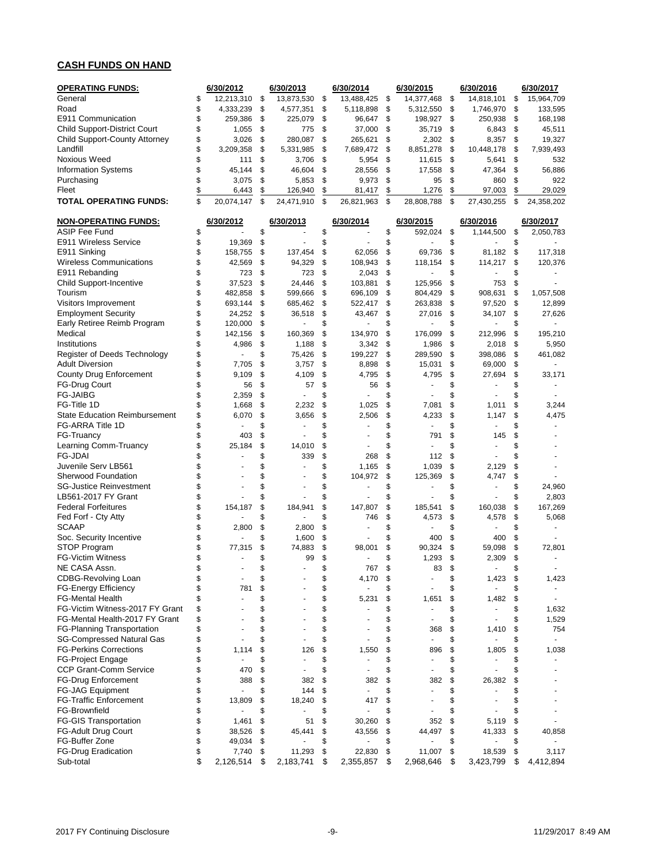## **CASH FUNDS ON HAND**

| <b>OPERATING FUNDS:</b>              | 6/30/2012            |    | 6/30/2013  | 6/30/2014            |               | 6/30/2015                | 6/30/2016                      | 6/30/2017            |
|--------------------------------------|----------------------|----|------------|----------------------|---------------|--------------------------|--------------------------------|----------------------|
| General                              | \$<br>12,213,310     | \$ | 13,873,530 | \$<br>13,488,425     | \$            | 14,377,468               | \$<br>14,818,101               | \$<br>15,964,709     |
| Road                                 | \$<br>4,333,239      | \$ | 4,577,351  | \$<br>5,118,898      | \$            | 5,312,550                | \$<br>1,746,970                | \$<br>133,595        |
| E911 Communication                   | \$<br>259,386        | \$ | 225,079    | \$<br>96,647         | \$            | 198,927                  | \$<br>250,938                  | \$<br>168,198        |
| <b>Child Support-District Court</b>  | \$<br>1,055          | \$ | 775        | \$<br>37,000         | \$            | 35,719                   | \$<br>6,843                    | \$<br>45,511         |
| Child Support-County Attorney        | \$<br>3,026          | \$ | 280.087    | \$<br>265,621        | \$            | 2,302                    | \$<br>8,357                    | \$<br>19,327         |
| Landfill                             | \$<br>3,209,358      | \$ | 5,331,985  | \$<br>7,689,472      | -\$           | 8,851,278                | \$<br>10,448,178               | \$<br>7,939,493      |
| Noxious Weed                         | \$<br>111            | \$ | 3,706      | \$<br>5,954          | \$            | 11,615                   | \$<br>5,641                    | \$<br>532            |
| <b>Information Systems</b>           | \$<br>45,144         | \$ | 46,604     | \$<br>28,556         | \$            | 17,558                   | \$<br>47,364                   | \$<br>56,886         |
| Purchasing                           | \$<br>3,075          | \$ | 5,853      | \$<br>9,973          | \$            | 95                       | \$<br>860                      | \$<br>922            |
| Fleet                                | \$<br>6,443          | \$ | 126,940    | \$<br>81,417         | $\frac{1}{2}$ | 1,276                    | \$<br>97,003                   | \$<br>29,029         |
| TOTAL OPERATING FUNDS:               | \$<br>20,074,147     | \$ | 24,471,910 | \$<br>26,821,963     | \$            | 28,808,788               | \$<br>27,430,255               | \$<br>24,358,202     |
| <b>NON-OPERATING FUNDS:</b>          | 6/30/2012            |    | 6/30/2013  | 6/30/2014            |               | 6/30/2015                | 6/30/2016                      | 6/30/2017            |
| <b>ASIP Fee Fund</b>                 | \$                   | \$ |            | \$                   | \$            | 592,024                  | \$<br>1,144,500                | \$<br>2,050,783      |
| E911 Wireless Service                | \$<br>19,369         | \$ |            | \$                   | \$            | ä,                       | \$                             | \$                   |
| E911 Sinking                         | \$<br>158,755        | \$ | 137,454    | \$<br>62,056         | \$            | 69,736                   | \$<br>81,182                   | \$<br>117,318        |
| <b>Wireless Communications</b>       | \$<br>42,569         | \$ | 94,329     | \$<br>108,943        | \$            | 118,154                  | \$<br>114,217                  | \$<br>120,376        |
| E911 Rebanding                       | \$<br>723            | \$ | 723        | \$<br>2,043          | \$            |                          | \$                             | \$                   |
| Child Support-Incentive              | \$<br>37,523         | \$ | 24,446     | \$<br>103,881        | \$            | 125,956                  | \$<br>753                      | \$                   |
| Tourism                              | \$<br>482,858        | \$ | 599,666    | \$<br>696,109        | \$            | 804,429                  | \$<br>908,631                  | \$<br>1,057,508      |
| Visitors Improvement                 | \$<br>693,144        | \$ | 685,462    | \$<br>522,417        | \$            | 263,838                  | \$<br>97,520                   | \$<br>12,899         |
| <b>Employment Security</b>           | \$<br>24,252         | \$ | 36,518     | \$<br>43,467         | \$            | 27,016                   | \$<br>34,107                   | \$<br>27,626         |
| Early Retiree Reimb Program          | \$<br>120,000        | \$ | ٠          | \$                   | \$            | ä,                       | \$<br>٠                        | \$<br>$\sim$         |
| Medical                              | \$<br>142,156        | \$ | 160,369    | \$<br>134,970        | \$            | 176,099                  | \$<br>212,996                  | \$<br>195,210        |
| Institutions                         | \$<br>4,986          | \$ | 1,188      | \$<br>3,342          | \$            | 1,986                    | \$<br>2,018                    | \$<br>5,950          |
| Register of Deeds Technology         | \$                   | \$ | 75,426     | \$<br>199,227        | \$            | 289,590                  | \$<br>398,086                  | \$<br>461,082        |
| <b>Adult Diversion</b>               | \$<br>7,705          | \$ | 3,757      | \$<br>8,898          | \$            | 15,031                   | \$<br>69,000                   | \$                   |
| County Drug Enforcement              | \$<br>9,109          | \$ | 4,109      | \$<br>4,795          | \$            | 4,795                    | \$<br>27,694                   | \$<br>33,171         |
| FG-Drug Court                        | \$<br>56             | \$ | 57         | \$<br>56             | \$            | ä,                       | \$<br>٠                        | \$                   |
| <b>FG-JAIBG</b>                      | \$<br>2,359          | \$ |            | \$                   | \$            |                          | \$                             | \$                   |
| FG-Title 1D                          | \$<br>1,668          | \$ | 2,232      | \$<br>1,025          | \$            | 7,081                    | \$<br>1,011                    | \$<br>3,244          |
| <b>State Education Reimbursement</b> | \$<br>6,070          | \$ | 3,656      | \$<br>2,506          | \$            | 4,233                    | \$<br>1,147                    | \$<br>4,475          |
| FG-ARRA Title 1D                     | \$                   | \$ |            | \$                   | \$            | ä,                       | \$                             | \$                   |
| FG-Truancy                           | \$<br>403            | \$ |            | \$                   | \$            | 791                      | \$<br>145                      | \$                   |
| Learning Comm-Truancy                | \$<br>25,184         | \$ | 14,010     | \$                   | \$            | ä,                       | \$                             | \$                   |
| <b>FG-JDAI</b>                       | \$                   | \$ | 339        | \$<br>268            | \$            | 112                      | \$                             | \$                   |
| Juvenile Serv LB561                  | \$                   | \$ |            | \$<br>1,165          | \$            | 1,039                    | \$<br>2,129                    | \$                   |
| <b>Sherwood Foundation</b>           | \$                   | \$ |            | \$<br>104,972        | \$            | 125,369                  | \$<br>4,747                    | \$                   |
| <b>SG-Justice Reinvestment</b>       | \$                   | \$ | ä,         | \$                   | \$            | $\ddot{\phantom{1}}$     | \$<br>٠                        | \$<br>24,960         |
| LB561-2017 FY Grant                  | \$                   | \$ |            | \$                   | \$            | ä,                       | \$<br>ä,                       | \$<br>2,803          |
| <b>Federal Forfeitures</b>           | \$<br>154,187        | \$ | 184,941    | \$<br>147,807        | \$            | 185,541                  | \$<br>160,038                  | \$<br>167,269        |
| Fed Forf - Cty Atty                  | \$                   | \$ |            | \$<br>746            | \$            | 4,573                    | \$<br>4,578                    | \$<br>5,068          |
| <b>SCAAP</b>                         | \$<br>2,800          | \$ | 2,800      | \$                   | \$            | $\sim$                   | \$<br>÷,                       | \$                   |
| Soc. Security Incentive              | \$                   | \$ | 1,600      | \$                   | \$            | 400                      | \$<br>400                      | \$                   |
| STOP Program                         | \$<br>77,315         | \$ | 74,883     | \$<br>98,001         | \$            | 90,324                   | \$<br>59,098                   | \$<br>72,801         |
| <b>FG-Victim Witness</b>             | \$                   | \$ | 99         | \$                   | \$            | 1,293                    | \$<br>2,309                    | \$<br>÷.             |
| NE CASA Assn.                        | \$                   | ፍ  | ۰          | \$<br>767            | \$            | 83                       | \$<br>٠                        | \$                   |
| <b>CDBG-Revolving Loan</b>           | \$                   | \$ |            | \$<br>4,170          | \$            |                          | \$<br>1,423                    | \$<br>1,423          |
| FG-Energy Efficiency                 | \$<br>781            | \$ |            | \$                   | \$            |                          | \$<br>ä,                       | \$<br>$\blacksquare$ |
| <b>FG-Mental Health</b>              | \$<br>ä,             | \$ |            | \$<br>5,231          | \$            | 1,651                    | \$<br>1,482                    | \$<br>$\blacksquare$ |
| FG-Victim Witness-2017 FY Grant      | \$                   | \$ |            | \$                   | \$            | $\overline{\phantom{a}}$ | \$                             | \$<br>1,632          |
| FG-Mental Health-2017 FY Grant       | \$                   | \$ |            | \$<br>٠              | \$            | $\overline{a}$           | \$<br>$\overline{\phantom{a}}$ | \$<br>1,529          |
| FG-Planning Transportation           | \$                   | \$ |            | \$                   | \$            | 368                      | \$<br>1,410                    | \$<br>754            |
| <b>SG-Compressed Natural Gas</b>     | \$                   | \$ |            | \$                   | \$            | $\blacksquare$           | \$<br>ä,                       | \$<br>$\sim$         |
| <b>FG-Perkins Corrections</b>        | \$<br>1,114          | \$ | 126        | \$<br>1,550          | \$            | 896                      | \$<br>1,805                    | \$<br>1,038          |
| <b>FG-Project Engage</b>             | \$<br>$\blacksquare$ | \$ |            | \$                   | \$            | $\tilde{\phantom{a}}$    | \$                             | \$                   |
| <b>CCP Grant-Comm Service</b>        | \$<br>470            | \$ |            | \$                   | \$            | $\overline{a}$           | \$<br>÷,                       | \$                   |
| <b>FG-Drug Enforcement</b>           | \$<br>388            | \$ | 382        | \$<br>382            | \$            | 382                      | \$<br>26,382                   | \$                   |
| <b>FG-JAG Equipment</b>              | \$                   | \$ | 144        | \$                   | \$            | $\sim$                   | \$                             | \$                   |
| <b>FG-Traffic Enforcement</b>        | \$<br>13,809         | \$ | 18,240     | \$<br>417            | \$            |                          | \$                             | \$                   |
| FG-Brownfield                        | \$                   | \$ |            | \$                   | \$            | ÷,                       | \$                             | \$                   |
| <b>FG-GIS Transportation</b>         | \$<br>1,461          | \$ | 51         | \$<br>30,260         | \$            | 352                      | \$<br>5,119                    | \$                   |
| <b>FG-Adult Drug Court</b>           | \$<br>38,526         | \$ | 45,441     | \$<br>43,556         | \$            | 44,497                   | \$<br>41,333                   | \$<br>40,858         |
| FG-Buffer Zone                       | \$<br>49,034         | \$ |            | \$<br>$\overline{a}$ | \$            | $\overline{a}$           | \$<br>٠                        | \$<br>$\sim$         |
| FG-Drug Eradication                  | \$<br>7,740          | \$ | 11,293     | \$<br>22,830         | \$            | 11,007                   | \$<br>18,539                   | \$<br>3,117          |
| Sub-total                            | \$<br>2,126,514      | \$ | 2,183,741  | \$<br>2,355,857      | \$            | 2,968,646                | \$<br>3,423,799                | \$<br>4,412,894      |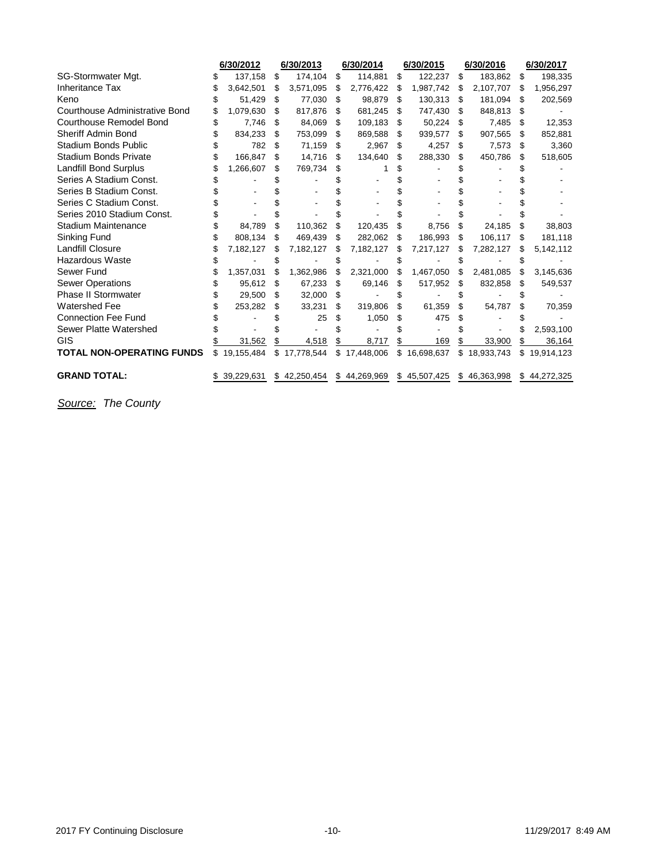|                                  | 6/30/2012       |    | 6/30/2013  | 6/30/2014 |              | 6/30/2015 |              | 6/30/2016 |              |     | 6/30/2017    |  |
|----------------------------------|-----------------|----|------------|-----------|--------------|-----------|--------------|-----------|--------------|-----|--------------|--|
| SG-Stormwater Mgt.               | \$<br>137,158   | \$ | 174,104    | -\$       | 114,881      | \$        | 122,237      | \$        | 183,862      | \$  | 198,335      |  |
| <b>Inheritance Tax</b>           | 3,642,501       | \$ | 3,571,095  | \$        | 2,776,422    | \$        | 1,987,742    | \$        | 2,107,707    | \$  | 1,956,297    |  |
| Keno                             | 51,429          | \$ | 77,030 \$  |           | 98,879       | S         | 130,313      | S         | 181,094      | S   | 202,569      |  |
| Courthouse Administrative Bond   | \$<br>1,079,630 | \$ | 817,876    | S         | 681,245      | \$.       | 747,430      | S         | 848,813      | S   |              |  |
| <b>Courthouse Remodel Bond</b>   | \$<br>7,746     | S  | 84,069     | S         | 109,183      | S         | 50,224       | S         | 7,485        | S   | 12,353       |  |
| <b>Sheriff Admin Bond</b>        | 834,233         | \$ | 753,099    | -S        | 869,588      | \$        | 939,577      | S         | 907,565      | S   | 852,881      |  |
| <b>Stadium Bonds Public</b>      | 782             | \$ | 71,159     | S         | 2,967        | \$        | 4,257        | \$.       | 7,573        | S   | 3,360        |  |
| <b>Stadium Bonds Private</b>     | \$<br>166,847   | \$ | 14,716     | \$.       | 134,640      | \$        | 288,330      | S         | 450,786      | \$. | 518,605      |  |
| Landfill Bond Surplus            | \$<br>1,266,607 | \$ | 769,734    | S         |              |           |              |           |              |     |              |  |
| Series A Stadium Const.          |                 |    |            |           |              |           |              |           |              |     |              |  |
| Series B Stadium Const.          |                 |    |            |           |              |           |              |           |              |     |              |  |
| Series C Stadium Const.          |                 |    |            |           |              |           |              |           |              |     |              |  |
| Series 2010 Stadium Const.       |                 |    |            |           |              |           |              |           |              |     |              |  |
| <b>Stadium Maintenance</b>       | 84,789          | \$ | 110,362    | S         | 120,435      | S         | 8,756        | \$        | 24,185       |     | 38,803       |  |
| Sinking Fund                     | 808,134         | \$ | 469,439    | \$        | 282,062      | \$        | 186,993      | S         | 106,117      | S   | 181,118      |  |
| <b>Landfill Closure</b>          | 7,182,127       | S  | 7,182,127  | S         | 7,182,127    | S         | 7,217,127    | S         | 7,282,127    | S   | 5,142,112    |  |
| <b>Hazardous Waste</b>           |                 |    |            |           |              |           |              |           |              |     |              |  |
| Sewer Fund                       | 1,357,031       |    | 1,362,986  | S         | 2,321,000    | \$        | 1,467,050    | S         | 2,481,085    |     | 3,145,636    |  |
| <b>Sewer Operations</b>          | \$<br>95,612    | S  | 67,233     | S         | 69,146       | S         | 517,952      | S         | 832,858      | S   | 549,537      |  |
| <b>Phase II Stormwater</b>       | 29,500          | S  | 32,000     | S         |              |           |              |           |              |     |              |  |
| <b>Watershed Fee</b>             | \$<br>253,282   | S  | 33,231     | S         | 319,806      | \$        | 61,359       | S         | 54,787       | \$. | 70,359       |  |
| <b>Connection Fee Fund</b>       |                 |    | 25         | S         | 1,050        | S         | 475          |           |              |     |              |  |
| Sewer Platte Watershed           |                 |    |            |           |              |           |              |           |              |     | 2,593,100    |  |
| <b>GIS</b>                       | 31,562          |    | 4,518      |           | 8,717        |           | 169          |           | 33,900       |     | 36,164       |  |
| <b>TOTAL NON-OPERATING FUNDS</b> | \$19,155,484    | \$ | 17,778,544 |           | \$17,448,006 | \$        | 16,698,637   |           | \$18,933,743 | \$  | 19,914,123   |  |
| <b>GRAND TOTAL:</b>              | \$39,229,631    | \$ | 42,250,454 |           | \$44,269,969 |           | \$45,507,425 |           | \$46,363,998 |     | \$44,272,325 |  |

*Source: The County*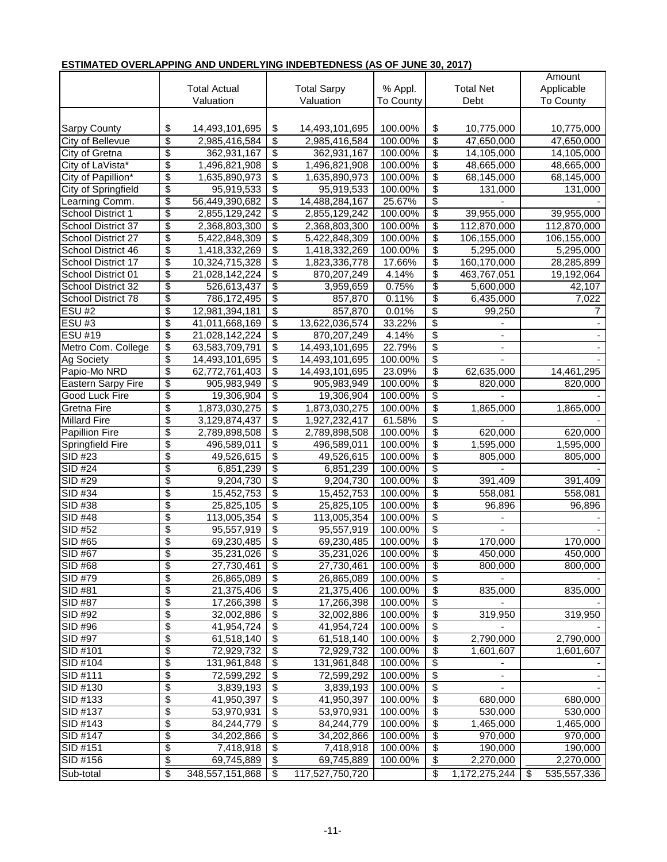| ן וויווא וכט טיפולבאר הוויט אויט טויטבולב ווויס וויטבט ובטוובטט (אט טו טטויוב טי, ביוון |                                        |                           |                 |                    |           |    |                  |    |                  |  |         |
|-----------------------------------------------------------------------------------------|----------------------------------------|---------------------------|-----------------|--------------------|-----------|----|------------------|----|------------------|--|---------|
|                                                                                         |                                        |                           |                 |                    |           |    |                  |    | Amount           |  |         |
|                                                                                         |                                        | <b>Total Actual</b>       |                 | <b>Total Sarpy</b> | % Appl.   |    | <b>Total Net</b> |    | Applicable       |  |         |
|                                                                                         |                                        | Valuation                 |                 | Valuation          | To County |    | Debt             |    | <b>To County</b> |  |         |
|                                                                                         |                                        |                           |                 |                    |           |    |                  |    |                  |  |         |
| <b>Sarpy County</b>                                                                     | \$                                     | 14,493,101,695            | \$              | 14,493,101,695     | 100.00%   | \$ | 10,775,000       |    | 10,775,000       |  |         |
| <b>City of Bellevue</b>                                                                 | $\overline{\mathcal{S}}$               | 2,985,416,584             | \$              | 2,985,416,584      | 100.00%   | \$ | 47,650,000       |    | 47,650,000       |  |         |
| City of Gretna                                                                          | \$                                     | 362,931,167               | \$              | 362,931,167        | 100.00%   | \$ | 14,105,000       |    | 14,105,000       |  |         |
| City of LaVista*                                                                        | \$                                     | 1,496,821,908             | \$              | 1,496,821,908      | 100.00%   | \$ | 48,665,000       |    | 48,665,000       |  |         |
| City of Papillion*                                                                      | \$                                     | 1,635,890,973             | \$              | 1,635,890,973      | 100.00%   | \$ | 68,145,000       |    | 68,145,000       |  |         |
| City of Springfield                                                                     | $\overline{\$}$                        | 95,919,533                | \$              | 95,919,533         | 100.00%   | \$ | 131,000          |    | 131,000          |  |         |
| Learning Comm.                                                                          | \$                                     | 56,449,390,682            | \$              | 14,488,284,167     | 25.67%    | \$ |                  |    |                  |  |         |
| <b>School District 1</b>                                                                | $\overline{\boldsymbol{\theta}}$       | 2,855,129,242             | \$              | 2,855,129,242      | 100.00%   | \$ | 39,955,000       |    | 39,955,000       |  |         |
| School District 37                                                                      | $\overline{\boldsymbol{\mathfrak{s}}}$ | 2,368,803,300             | \$              | 2,368,803,300      | 100.00%   | \$ | 112,870,000      |    | 112,870,000      |  |         |
| School District 27                                                                      | \$                                     | 5,422,848,309             | \$              | 5,422,848,309      | 100.00%   | \$ | 106,155,000      |    | 106,155,000      |  |         |
| School District 46                                                                      | \$                                     | 1,418,332,269             | \$              | 1,418,332,269      | 100.00%   | \$ | 5,295,000        |    | 5,295,000        |  |         |
| School District 17                                                                      | $\overline{\boldsymbol{\theta}}$       | 10,324,715,328            | \$              | 1,823,336,778      | 17.66%    | \$ | 160,170,000      |    | 28,285,899       |  |         |
| School District 01                                                                      | $\overline{\$}$                        | 21,028,142,224            | \$              | 870,207,249        | 4.14%     | \$ | 463,767,051      |    | 19,192,064       |  |         |
| School District 32                                                                      | \$                                     | 526,613,437               | \$              | 3,959,659          | 0.75%     | \$ | 5,600,000        |    | 42,107           |  |         |
| School District 78                                                                      | $\overline{\boldsymbol{\theta}}$       | 786,172,495               | \$              | 857,870            | 0.11%     | \$ | 6,435,000        |    | 7,022            |  |         |
| $\overline{ESU}$ #2                                                                     | $\overline{\boldsymbol{\theta}}$       | 12,981,394,181            | \$              | 857,870            | 0.01%     | \$ | 99,250           |    | 7                |  |         |
| <b>ESU#3</b>                                                                            | \$                                     | 41,011,668,169            | \$              | 13,622,036,574     | 33.22%    | \$ |                  |    |                  |  |         |
| ESU #19                                                                                 | \$                                     | 21,028,142,224            | \$              | 870,207,249        | 4.14%     | \$ |                  |    |                  |  |         |
| Metro Com. College                                                                      | \$                                     | 63,583,709,791            | \$              | 14,493,101,695     | 22.79%    | \$ |                  |    |                  |  |         |
| Ag Society                                                                              | \$                                     | 14,493,101,695            | \$              | 14,493,101,695     | 100.00%   | \$ |                  |    |                  |  |         |
| Papio-Mo NRD                                                                            | \$                                     | 62,772,761,403            | \$              | 14,493,101,695     | 23.09%    | \$ | 62,635,000       |    | 14,461,295       |  |         |
| <b>Eastern Sarpy Fire</b>                                                               | $\overline{\boldsymbol{\theta}}$       | 905,983,949               | \$              | 905,983,949        | 100.00%   | \$ | 820,000          |    | 820,000          |  |         |
| Good Luck Fire                                                                          | \$                                     | 19,306,904                | \$              | 19,306,904         | 100.00%   | \$ |                  |    |                  |  |         |
| Gretna Fire                                                                             | \$                                     | 1,873,030,275             | \$              | 1,873,030,275      | 100.00%   | \$ | 1,865,000        |    | 1,865,000        |  |         |
| <b>Millard Fire</b>                                                                     | \$                                     | 3,129,874,437             | \$              | 1,927,232,417      | 61.58%    | \$ |                  |    |                  |  |         |
| <b>Papillion Fire</b>                                                                   | \$                                     | 2,789,898,508             | \$              | 2,789,898,508      | 100.00%   | \$ | 620,000          |    | 620,000          |  |         |
| Springfield Fire                                                                        | \$                                     |                           | \$              | 496,589,011        | 100.00%   | \$ | 1,595,000        |    | 1,595,000        |  |         |
| SID #23                                                                                 | \$                                     | 496,589,011<br>49,526,615 | \$              | 49,526,615         | 100.00%   | \$ |                  |    | 805,000          |  |         |
| <b>SID #24</b>                                                                          | \$                                     | 6,851,239                 | \$              |                    | 100.00%   |    | 805,000<br>\$    |    |                  |  |         |
| $\overline{SID H29}$                                                                    |                                        |                           |                 | 6,851,239          |           |    |                  |    |                  |  |         |
|                                                                                         | \$                                     | 9,204,730                 | \$              | 9,204,730          | 100.00%   | \$ | 391,409          |    |                  |  | 391,409 |
| SID #34                                                                                 | \$                                     | 15,452,753                | \$              | 15,452,753         | 100.00%   | \$ | 558,081          |    | 558,081          |  |         |
| SID #38                                                                                 | \$                                     | 25,825,105                | \$              | 25,825,105         | 100.00%   | \$ | 96,896           |    | 96,896           |  |         |
| SID #48                                                                                 | \$                                     | 113,005,354               | \$              | 113,005,354        | 100.00%   | \$ |                  |    |                  |  |         |
| SID #52                                                                                 | \$                                     | 95,557,919                | \$              | 95,557,919         | 100.00%   | \$ |                  |    |                  |  |         |
| <b>SID #65</b>                                                                          | \$                                     | 69,230,485                | \$              | 69,230,485         | 100.00%   | \$ | 170,000          |    | 170,000          |  |         |
| <b>SID #67</b>                                                                          | \$                                     | 35,231,026                | $\overline{\$}$ | 35,231,026         | 100.00%   | \$ | 450,000          |    | 450,000          |  |         |
| $\overline{S}$ ID #68                                                                   | \$                                     | 27,730,461                | \$              | 27,730,461         | 100.00%   | \$ | 800,000          |    | 800,000          |  |         |
| SID #79                                                                                 | \$                                     | 26,865,089                | \$              | 26,865,089         | 100.00%   | \$ |                  |    |                  |  |         |
| SID #81                                                                                 | \$                                     | 21,375,406                | \$              | 21,375,406         | 100.00%   | \$ | 835,000          |    | 835,000          |  |         |
| SID #87                                                                                 | \$                                     | 17,266,398                | \$              | 17,266,398         | 100.00%   | \$ |                  |    |                  |  |         |
| SID #92                                                                                 | \$                                     | 32,002,886                | \$              | 32,002,886         | 100.00%   | \$ | 319,950          |    | 319,950          |  |         |
| SID #96                                                                                 | \$                                     | 41,954,724                | \$              | 41,954,724         | 100.00%   | \$ |                  |    |                  |  |         |
| SID #97                                                                                 | \$                                     | 61,518,140                | \$              | 61,518,140         | 100.00%   | \$ | 2,790,000        |    | 2,790,000        |  |         |
| SID #101                                                                                | \$                                     | 72,929,732                | \$              | 72,929,732         | 100.00%   | \$ | 1,601,607        |    | 1,601,607        |  |         |
| SID #104                                                                                | \$                                     | 131,961,848               | \$              | 131,961,848        | 100.00%   | \$ |                  |    |                  |  |         |
| SID #111                                                                                | \$                                     | 72,599,292                | \$              | 72,599,292         | 100.00%   | \$ |                  |    |                  |  |         |
| SID #130                                                                                | \$                                     | 3,839,193                 | \$              | 3,839,193          | 100.00%   | \$ |                  |    |                  |  |         |
| SID #133                                                                                | \$                                     | 41,950,397                | \$              | 41,950,397         | 100.00%   | \$ | 680,000          |    | 680,000          |  |         |
| SID #137                                                                                | \$                                     | 53,970,931                | \$              | 53,970,931         | 100.00%   | \$ | 530,000          |    | 530,000          |  |         |
| SID #143                                                                                | \$                                     | 84,244,779                | \$              | 84,244,779         | 100.00%   | \$ | 1,465,000        |    | 1,465,000        |  |         |
| SID #147                                                                                | \$                                     | 34,202,866                | \$              | 34,202,866         | 100.00%   | \$ | 970,000          |    | 970,000          |  |         |
| SID #151                                                                                | \$                                     | 7,418,918                 | \$              | 7,418,918          | 100.00%   | \$ | 190,000          |    | 190,000          |  |         |
| SID #156                                                                                | $\frac{1}{2}$                          | 69,745,889                | \$              | 69,745,889         | 100.00%   | \$ | 2,270,000        |    | 2,270,000        |  |         |
| Sub-total                                                                               | $\overline{\mathbf{e}}$                | 348,557,151,868           | \$              | 117,527,750,720    |           | \$ | 1,172,275,244    | \$ | 535,557,336      |  |         |
|                                                                                         |                                        |                           |                 |                    |           |    |                  |    |                  |  |         |

## **ESTIMATED OVERLAPPING AND UNDERLYING INDEBTEDNESS (AS OF JUNE 30, 2017)**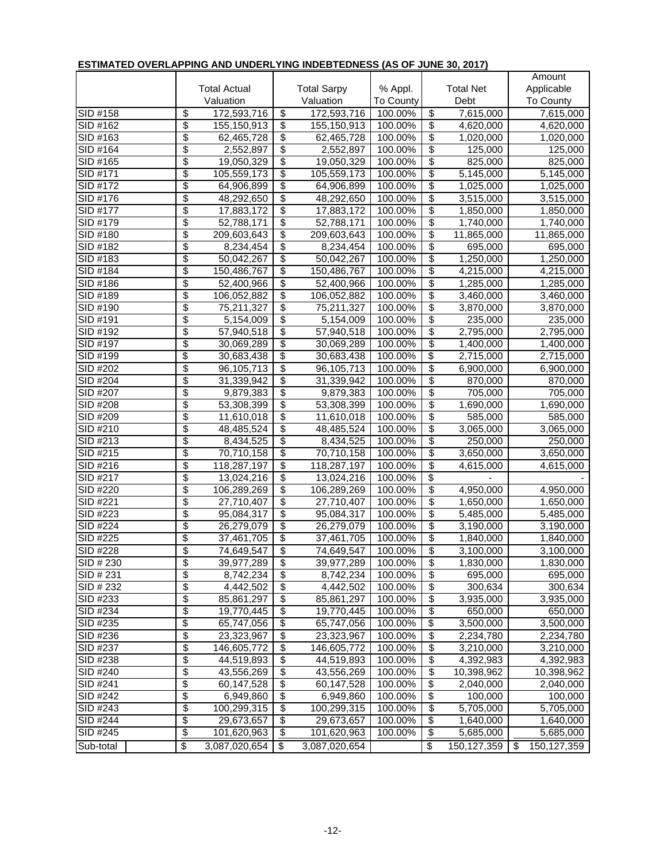| .                      |                                      |                           |                                  | .                         |                                  | ----                             |                  | Amount  |                        |  |           |
|------------------------|--------------------------------------|---------------------------|----------------------------------|---------------------------|----------------------------------|----------------------------------|------------------|---------|------------------------|--|-----------|
|                        |                                      | <b>Total Actual</b>       |                                  | <b>Total Sarpy</b>        | % Appl.                          |                                  | <b>Total Net</b> |         | Applicable             |  |           |
|                        |                                      | Valuation                 |                                  | Valuation                 | To County                        |                                  | Debt             |         | <b>To County</b>       |  |           |
| SID #158               | \$                                   | 172,593,716               | $\overline{\$}$                  | 172,593,716               | 100.00%                          | $\overline{\$}$                  | 7,615,000        |         | 7,615,000              |  |           |
| SID #162               | \$                                   | 155,150,913               | $\overline{\$}$                  | 155,150,913               | 100.00%                          | \$                               | 4,620,000        |         | 4,620,000              |  |           |
| SID #163               | \$                                   | 62,465,728                | $\overline{\$}$                  |                           | 100.00%                          | $\overline{\$}$                  | 1,020,000        |         |                        |  |           |
| SID #164               | \$                                   | 2,552,897                 | $\overline{\$}$                  | 62,465,728<br>2,552,897   | 100.00%                          | $\overline{\$}$                  | 125,000          |         | 1,020,000<br>125,000   |  |           |
| SID #165               | \$                                   |                           | $\overline{\$}$                  |                           | 100.00%                          | $\overline{\$}$                  | 825,000          |         | 825,000                |  |           |
| SID #171               | \$                                   | 19,050,329<br>105,559,173 | \$                               | 19,050,329<br>105,559,173 | 100.00%                          | \$                               | 5,145,000        |         | $\overline{5,145,000}$ |  |           |
| SID #172               | \$                                   | 64,906,899                | \$                               | 64,906,899                | 100.00%                          | \$                               | 1,025,000        |         | 1,025,000              |  |           |
| SID #176               | \$                                   | 48,292,650                | $\overline{\$}$                  | 48,292,650                | 100.00%                          | \$                               | 3,515,000        |         | 3,515,000              |  |           |
| SID #177               | \$                                   | 17,883,172                | \$                               | 17,883,172                | 100.00%                          | \$                               | 1,850,000        |         | 1,850,000              |  |           |
| SID #179               | \$                                   | 52,788,171                | \$                               | 52,788,171                | 100.00%                          | $\overline{\$}$                  | 1,740,000        |         | 1,740,000              |  |           |
| SID #180               | \$                                   | 209,603,643               | $\overline{\$}$                  | 209,603,643               | 100.00%                          | $\overline{\$}$                  | 11,865,000       |         | 11,865,000             |  |           |
| SID #182               | \$                                   | 8,234,454                 | $\overline{\$}$                  | 8,234,454                 | 100.00%                          | $\overline{\boldsymbol{\theta}}$ | 695,000          |         | 695,000                |  |           |
| SID #183               | \$                                   | 50,042,267                | \$                               | 50,042,267                | 100.00%                          | \$                               | 1,250,000        |         | 1,250,000              |  |           |
| SID #184               | \$                                   | 150,486,767               | \$                               | 150,486,767               | 100.00%                          | \$                               | 4,215,000        |         | 4,215,000              |  |           |
| SID #186               | \$                                   | 52,400,966                | \$                               | 52,400,966                | 100.00%                          | \$                               | 1,285,000        |         | 1,285,000              |  |           |
| SID #189               | \$                                   | 106,052,882               | $\overline{\$}$                  | 106,052,882               | 100.00%                          | \$                               | 3,460,000        |         | 3,460,000              |  |           |
| SID #190               | \$                                   | 75,211,327                | \$                               | 75,211,327                | 100.00%                          | $\overline{\mathcal{S}}$         | 3,870,000        |         | 3,870,000              |  |           |
| SID #191               | \$                                   | 5,154,009                 | $\overline{\$}$                  | 5,154,009                 | 100.00%                          | \$                               | 235,000          |         | 235,000                |  |           |
| $\overline{SID H}$ 192 | \$                                   | 57,940,518                | $\overline{\$}$                  | 57,940,518                | 100.00%                          | $\overline{\$}$                  | 2,795,000        |         | 2,795,000              |  |           |
| SID #197               | \$                                   | 30,069,289                | $\overline{\$}$                  | 30,069,289                | 100.00%                          | \$                               | 1,400,000        |         | 1,400,000              |  |           |
| SID #199               | \$                                   | 30,683,438                | \$                               | 30,683,438                | 100.00%                          | \$                               | 2,715,000        |         | 2,715,000              |  |           |
| SID #202               | \$                                   | 96,105,713                | $\overline{\$}$                  | 96,105,713                | 100.00%                          | \$                               | 6,900,000        |         | 6,900,000              |  |           |
| SID #204               | \$                                   | 31,339,942                | \$                               | 31,339,942                | 100.00%                          | \$                               | 870,000          |         | 870,000                |  |           |
| SID #207               | \$                                   | 9,879,383                 | $\overline{\$}$                  | 9,879,383                 | 100.00%                          | \$                               | 705,000          |         | 705,000                |  |           |
| SID #208               | \$                                   | 53,308,399                | $\overline{\$}$                  | 53,308,399                | 100.00%                          | $\overline{\boldsymbol{\theta}}$ | 1,690,000        |         | 1,690,000              |  |           |
| SID #209               | \$                                   | 11,610,018                | $\overline{\$}$                  | 11,610,018                | 100.00%                          | $\overline{\$}$                  | 585,000          |         | 585,000                |  |           |
| SID #210               | \$                                   | 48,485,524                | $\overline{\$}$                  | 48,485,524                | 100.00%                          | \$                               | 3,065,000        |         | 3,065,000              |  |           |
| SID #213               | \$                                   | 8,434,525                 | \$                               | 8,434,525                 | 100.00%                          | \$                               | 250,000          |         | 250,000                |  |           |
| SID #215               | \$                                   | 70,710,158                | \$                               | 70,710,158                | 100.00%                          | \$                               | 3,650,000        |         | 3,650,000              |  |           |
| SID #216               | \$                                   | 118,287,197               | $\overline{\$}$                  | 118,287,197               | 100.00%                          | $\overline{\$}$                  | 4,615,000        |         | 4,615,000              |  |           |
| SID #217               | \$                                   | 13,024,216                | $\overline{\$}$                  | 13,024,216                | 100.00%                          | $\overline{\$}$                  |                  |         |                        |  |           |
| SID #220               | \$<br>$\overline{\$}$<br>106,289,269 |                           | 106,289,269                      | 100.00%                   | $\overline{\boldsymbol{\theta}}$ | 4,950,000                        | 4,950,000        |         |                        |  |           |
| SID #221               | \$                                   | 27,710,407                | $\overline{\$}$                  | 27,710,407                | 100.00%                          | $\overline{\mathcal{S}}$         | 1,650,000        |         | 1,650,000              |  |           |
| SID #223               | \$                                   | 95,084,317                | $\overline{\$}$                  | 95,084,317                | 100.00%                          | \$                               | 5,485,000        |         | 5,485,000              |  |           |
| SID #224               | \$                                   | 26,279,079                | \$                               | 26,279,079                | 100.00%                          | \$                               | 3,190,000        |         | 3,190,000              |  |           |
| SID #225               | \$                                   | 37,461,705                | $\overline{\$}$                  | 37,461,705                | 100.00%                          | \$                               | 1,840,000        |         | 1,840,000              |  |           |
| SID #228               | \$                                   | 74,649,547                | $\overline{\$}$                  | 74,649,547                | 100.00%                          | $\overline{\$}$                  | 3,100,000        |         | 3,100,000              |  |           |
| SID # 230              | \$                                   | 39,977,289                | \$                               | 39,977,289                | 100.00%                          | \$                               | 1,830,000        |         | 1,830,000              |  |           |
| SID # 231              | \$                                   | 8,742,234                 | $\overline{\boldsymbol{\theta}}$ | 8,742,234                 | 100.00%                          | \$                               | 695,000          |         | 695,000                |  |           |
| SID # 232              | \$                                   | 4,442,502                 | $\overline{\boldsymbol{\theta}}$ | 4,442,502                 | 100.00%                          | $\overline{\$}$                  | 300,634          |         | 300,634                |  |           |
| SID #233               | \$                                   | 85,861,297                | $\overline{\boldsymbol{\theta}}$ | 85,861,297                | 100.00%                          | $\overline{\mathcal{S}}$         | 3,935,000        |         | 3,935,000              |  |           |
| SID #234               | \$                                   | 19,770,445                | \$                               | 19,770,445                | 100.00%                          | \$                               | 650,000          |         | 650,000                |  |           |
| SID #235               | \$                                   | 65,747,056                | \$                               | 65,747,056                | 100.00%                          | \$                               | 3,500,000        |         | 3,500,000              |  |           |
| SID #236               | \$                                   | 23,323,967                | $\overline{\$}$                  | 23,323,967                | 100.00%                          | \$                               | 2,234,780        |         | 2,234,780              |  |           |
| SID #237               | \$                                   | 146,605,772               | $\overline{\$}$                  | 146,605,772               | 100.00%                          | \$                               | 3,210,000        |         | 3,210,000              |  |           |
| SID #238               | \$                                   | 44,519,893                | $\overline{\boldsymbol{\theta}}$ | 44,519,893                | 100.00%                          | \$                               | 4,392,983        |         | 4,392,983              |  |           |
| SID #240               | \$                                   | 43,556,269                | $\overline{\boldsymbol{\theta}}$ | 43,556,269                | 100.00%                          | $\overline{\mathcal{S}}$         | 10,398,962       |         | 10,398,962             |  |           |
| SID #241               | \$                                   | 60,147,528                | $\overline{\mathcal{G}}$         | 60,147,528                | 100.00%                          | \$                               | 2,040,000        |         | 2,040,000              |  |           |
| SID #242               | \$                                   | 6,949,860                 | \$                               | 6,949,860                 | 100.00%                          | \$                               | 100,000          |         | 100,000                |  |           |
| SID #243               | \$                                   | 100,299,315               | $\overline{\boldsymbol{\theta}}$ | 100,299,315               |                                  | \$<br>5,705,000                  |                  | 100.00% |                        |  | 5,705,000 |
| SID #244               | \$                                   | 29,673,657                | \$                               | 29,673,657                | 100.00%                          | \$                               | 1,640,000        |         | 1,640,000              |  |           |
| SID #245               | \$                                   | 101,620,963               | $\overline{\mathcal{E}}$         | 101,620,963               | 100.00%                          | \$                               | 5,685,000        |         | 5,685,000              |  |           |
| Sub-total              | \$                                   | 3,087,020,654             | \$                               | 3,087,020,654             |                                  | \$                               | 150,127,359      | \$      | 150,127,359            |  |           |

## **ESTIMATED OVERLAPPING AND UNDERLYING INDEBTEDNESS (AS OF JUNE 30, 2017)**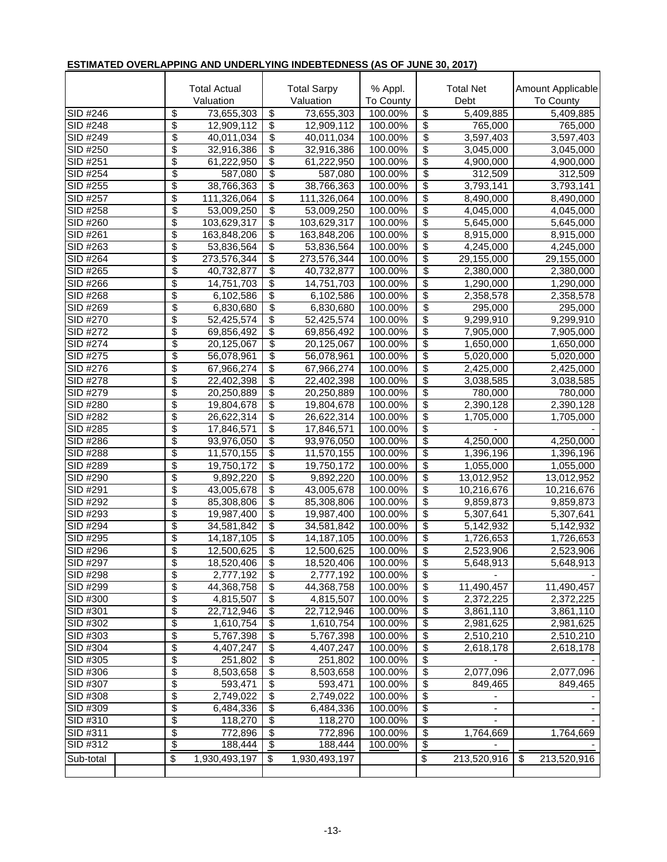|                      | <b>Total Actual</b><br>Valuation |                          | <b>Total Sarpy</b><br>Valuation |                            | % Appl.<br>To County |                                  | <b>Total Net</b><br>Debt | Amount Applicable<br><b>To County</b> |
|----------------------|----------------------------------|--------------------------|---------------------------------|----------------------------|----------------------|----------------------------------|--------------------------|---------------------------------------|
| SID #246             | \$                               | 73,655,303               | $\overline{\mathcal{G}}$        | 73,655,303                 | 100.00%              | \$                               | 5,409,885                | 5,409,885                             |
| $SID$ #248           | \$                               | 12,909,112               | $\overline{\mathcal{S}}$        | 12,909,112                 | 100.00%              | \$                               | 765,000                  | 765,000                               |
| SID #249             | \$                               | 40,011,034               | \$                              | 40,011,034                 | 100.00%              | \$                               | 3,597,403                | 3,597,403                             |
| SID #250             | \$                               | 32,916,386               | \$                              | 32,916,386                 | 100.00%              | \$                               | 3,045,000                | 3,045,000                             |
| SID #251             | \$                               | 61,222,950               | \$                              | 61,222,950                 | 100.00%              | \$                               | $\sqrt{4}$ ,900,000      | $\sqrt{4,900,000}$                    |
| SID #254             | \$                               | 587,080                  | \$                              | 587,080                    | 100.00%              | \$                               | 312,509                  | 312,509                               |
| SID #255             | \$                               | 38,766,363               | $\overline{\mathcal{S}}$        | 38,766,363                 | 100.00%              | \$                               | 3,793,141                | 3,793,141                             |
| SID #257             | \$                               | 111,326,064              | $\overline{\mathcal{S}}$        | 111,326,064                | 100.00%              | \$                               | 8,490,000                | 8,490,000                             |
| SID #258             | \$                               | 53,009,250               | \$                              | 53,009,250                 | 100.00%              | \$                               | 4,045,000                | 4,045,000                             |
| SID #260             | \$                               | 103,629,317              | \$                              | 103,629,317                | 100.00%              | \$                               | 5,645,000                | $\overline{5,}645,000$                |
| SID #261             | \$                               | 163,848,206              | \$                              | 163,848,206                | 100.00%              | \$                               | 8,915,000                | 8,915,000                             |
| SID #263             | \$                               | 53,836,564               | $\overline{\mathcal{S}}$        | 53,836,564                 | 100.00%              | \$                               | 4,245,000                | 4,245,000                             |
| SID #264             | \$                               | 273,576,344              | $\overline{\$}$                 | 273,576,344                | 100.00%              | \$                               | 29,155,000               | 29,155,000                            |
| SID #265             | \$                               | 40,732,877               | $\overline{\mathcal{S}}$        | 40,732,877                 | 100.00%              | \$                               | 2,380,000                | 2,380,000                             |
| SID #266             | \$                               | 14,751,703               | $\overline{\$}$                 | 14,751,703                 | 100.00%              | \$                               | 1,290,000                | 1,290,000                             |
| $SID$ #268           | \$                               | 6,102,586                | $\overline{\mathcal{S}}$        | 6,102,586                  | 100.00%              | \$                               | 2,358,578                | 2,358,578                             |
| SID #269             | \$                               | 6,830,680                | \$                              | 6,830,680                  | 100.00%              | \$                               | 295,000                  | 295,000                               |
| SID #270             | \$                               | 52,425,574               | \$                              | $\overline{52}$ , 425, 574 | 100.00%              | $\overline{\boldsymbol{\theta}}$ | $\overline{9,}299,910$   | 9,299,910                             |
| SID #272             | \$                               | 69,856,492               | \$                              | 69,856,492                 | 100.00%              | \$                               | 7,905,000                | 7,905,000                             |
| SID #274             | \$                               | 20,125,067               | \$                              | 20,125,067                 | 100.00%              | \$                               | 1,650,000                | 1,650,000                             |
| SID #275             | \$                               | 56,078,961               | \$                              | 56,078,961                 | 100.00%              | \$                               | 5,020,000                | 5,020,000                             |
| SID #276             | \$                               | 67,966,274               | $\overline{\$}$                 | 67,966,274                 | 100.00%              | $\overline{\boldsymbol{\theta}}$ | 2,425,000                | 2,425,000                             |
| SID #278             | \$                               | 22,402,398               | \$                              | 22,402,398                 | 100.00%              | \$                               | 3,038,585                | 3,038,585                             |
| SID #279             | \$<br>\$                         | 20,250,889               | \$                              | 20,250,889                 | 100.00%              | \$                               | 780,000                  | 780,000                               |
| SID #280             | \$                               | 19,804,678               | \$<br>$\overline{\$}$           | 19,804,678                 | 100.00%              | \$<br>\$                         | 2,390,128                | 2,390,128                             |
| SID #282<br>SID #285 | \$                               | 26,622,314               | $\overline{\$}$                 | 26,622,314                 | 100.00%<br>100.00%   | \$                               | 1,705,000                | 1,705,000                             |
| SID #286             | \$                               | 17,846,571               | $\overline{\$}$                 | 17,846,571<br>93,976,050   |                      | \$                               | $\overline{4,250,000}$   |                                       |
| <b>SID #288</b>      | \$                               | 93,976,050<br>11,570,155 | $\overline{\$}$                 | 11,570,155                 | 100.00%<br>100.00%   | \$                               | 1,396,196                | 4,250,000<br>1,396,196                |
| SID #289             | \$                               | 19,750,172               | $\overline{\mathcal{S}}$        | 19,750,172                 | 100.00%              | \$                               | 1,055,000                | 1,055,000                             |
| SID #290             | \$                               | 9,892,220                | \$                              | 9,892,220                  | 100.00%              | \$                               | 13,012,952               | 13,012,952                            |
| SID #291             | \$                               | 43,005,678               | \$                              | 43,005,678                 | 100.00%              | \$                               | 10,216,676               | 10,216,676                            |
| SID #292             | \$                               | 85,308,806               | \$                              | 85,308,806                 | 100.00%              | \$                               | 9,859,873                | 9,859,873                             |
| SID #293             | \$                               | 19,987,400               | $\overline{\mathcal{S}}$        | 19,987,400                 | 100.00%              | \$                               | 5,307,641                | 5,307,641                             |
| SID #294             | \$                               | 34,581,842               | $\overline{\mathcal{S}}$        | 34,581,842                 | 100.00%              | \$                               | 5,142,932                | 5,142,932                             |
| SID #295             | \$                               | 14,187,105               | $\overline{\mathcal{S}}$        | 14, 187, 105               | 100.00%              | \$                               | 1,726,653                | 1,726,653                             |
| $SID$ #296           | \$                               | 12,500,625               | \$                              | 12,500,625                 | 100.00%              | \$                               | 2,523,906                | 2,523,906                             |
| SID #297             | \$                               | 18,520,406               | \$                              | 18,520,406                 | 100.00%              | \$                               | 5,648,913                | 5,648,913                             |
| SID #298             | \$                               | 2,777,192                | \$                              | 2,777,192                  | 100.00%              | \$                               |                          |                                       |
| SID #299             | \$                               | 44,368,758               | \$                              | 44,368,758                 | 100.00%              | \$                               | 11,490,457               | 11,490,457                            |
| SID #300             | \$                               | 4,815,507                | \$                              | 4,815,507                  | 100.00%              | \$                               | 2,372,225                | 2,372,225                             |
| SID #301             | \$                               | 22,712,946               | \$                              | 22,712,946                 | 100.00%              | \$                               | 3,861,110                | 3,861,110                             |
| SID #302             | \$                               | 1,610,754                | \$                              | 1,610,754                  | 100.00%              | \$                               | 2,981,625                | 2,981,625                             |
| SID #303             | \$                               | 5,767,398                | \$                              | 5,767,398                  | 100.00%              | \$                               | 2,510,210                | 2,510,210                             |
| SID #304             | \$                               | 4,407,247                | \$                              | 4,407,247                  | 100.00%              | \$                               | 2,618,178                | 2,618,178                             |
| SID #305             | \$                               | 251,802                  | \$                              | 251,802                    | 100.00%              | \$                               |                          |                                       |
| SID #306             | \$                               | 8,503,658                | \$                              | 8,503,658                  | 100.00%              | \$                               | 2,077,096                | 2,077,096                             |
| SID #307             | \$                               | 593,471                  | \$                              | 593,471                    | 100.00%              | \$                               | 849,465                  | 849,465                               |
| SID #308             | \$                               | 2,749,022                | \$                              | 2,749,022                  | 100.00%              | \$                               |                          |                                       |
| SID #309             | \$                               | 6,484,336                | \$                              | 6,484,336                  | 100.00%              | \$                               |                          |                                       |
| SID #310             | \$                               | 118,270                  | \$                              | 118,270                    | 100.00%              | \$                               |                          |                                       |
| SID #311             | \$                               | 772,896                  | \$                              | 772,896                    | 100.00%              | \$                               | 1,764,669                | 1,764,669                             |
| SID #312             | \$                               | 188,444                  | \$                              | 188,444                    | 100.00%              | \$                               |                          |                                       |
| Sub-total            | \$                               | 1,930,493,197            | \$                              | 1,930,493,197              |                      | \$                               | 213,520,916              | \$<br>213,520,916                     |
|                      |                                  |                          |                                 |                            |                      |                                  |                          |                                       |

## **ESTIMATED OVERLAPPING AND UNDERLYING INDEBTEDNESS (AS OF JUNE 30, 2017)**